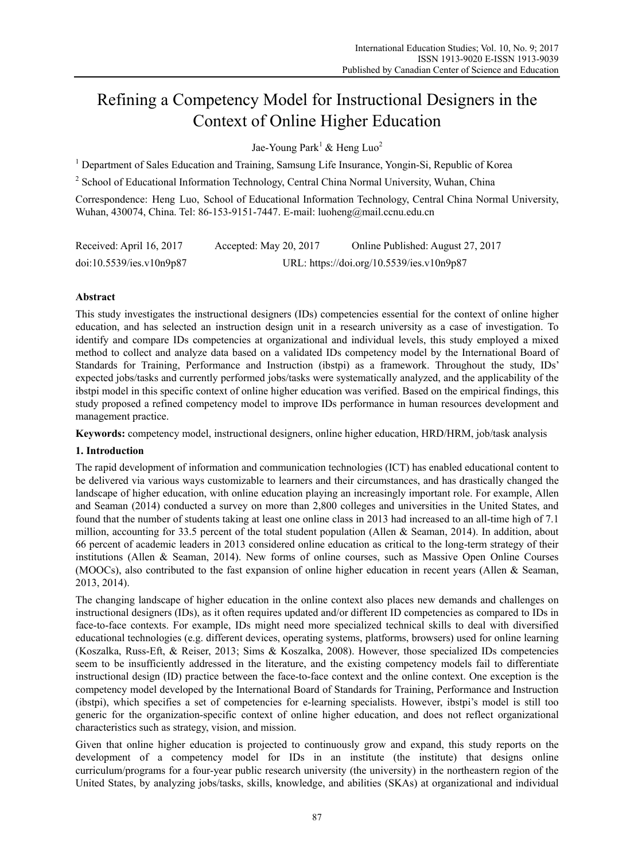# Refining a Competency Model for Instructional Designers in the Context of Online Higher Education

Jae-Young Park<sup>1</sup> & Heng Luo<sup>2</sup>

<sup>1</sup> Department of Sales Education and Training, Samsung Life Insurance, Yongin-Si, Republic of Korea

<sup>2</sup> School of Educational Information Technology, Central China Normal University, Wuhan, China

Correspondence: Heng Luo, School of Educational Information Technology, Central China Normal University, Wuhan, 430074, China. Tel: 86-153-9151-7447. E-mail: luoheng@mail.ccnu.edu.cn

| Received: April 16, 2017 | Accepted: May 20, 2017 | Online Published: August 27, 2017         |
|--------------------------|------------------------|-------------------------------------------|
| doi:10.5539/ies.v10n9p87 |                        | URL: https://doi.org/10.5539/ies.v10n9p87 |

## **Abstract**

This study investigates the instructional designers (IDs) competencies essential for the context of online higher education, and has selected an instruction design unit in a research university as a case of investigation. To identify and compare IDs competencies at organizational and individual levels, this study employed a mixed method to collect and analyze data based on a validated IDs competency model by the International Board of Standards for Training, Performance and Instruction (ibstpi) as a framework. Throughout the study, IDs' expected jobs/tasks and currently performed jobs/tasks were systematically analyzed, and the applicability of the ibstpi model in this specific context of online higher education was verified. Based on the empirical findings, this study proposed a refined competency model to improve IDs performance in human resources development and management practice.

**Keywords:** competency model, instructional designers, online higher education, HRD/HRM, job/task analysis

## **1. Introduction**

The rapid development of information and communication technologies (ICT) has enabled educational content to be delivered via various ways customizable to learners and their circumstances, and has drastically changed the landscape of higher education, with online education playing an increasingly important role. For example, Allen and Seaman (2014) conducted a survey on more than 2,800 colleges and universities in the United States, and found that the number of students taking at least one online class in 2013 had increased to an all-time high of 7.1 million, accounting for 33.5 percent of the total student population (Allen & Seaman, 2014). In addition, about 66 percent of academic leaders in 2013 considered online education as critical to the long-term strategy of their institutions (Allen & Seaman, 2014). New forms of online courses, such as Massive Open Online Courses (MOOCs), also contributed to the fast expansion of online higher education in recent years (Allen & Seaman, 2013, 2014).

The changing landscape of higher education in the online context also places new demands and challenges on instructional designers (IDs), as it often requires updated and/or different ID competencies as compared to IDs in face-to-face contexts. For example, IDs might need more specialized technical skills to deal with diversified educational technologies (e.g. different devices, operating systems, platforms, browsers) used for online learning (Koszalka, Russ-Eft, & Reiser, 2013; Sims & Koszalka, 2008). However, those specialized IDs competencies seem to be insufficiently addressed in the literature, and the existing competency models fail to differentiate instructional design (ID) practice between the face-to-face context and the online context. One exception is the competency model developed by the International Board of Standards for Training, Performance and Instruction (ibstpi), which specifies a set of competencies for e-learning specialists. However, ibstpi's model is still too generic for the organization-specific context of online higher education, and does not reflect organizational characteristics such as strategy, vision, and mission.

Given that online higher education is projected to continuously grow and expand, this study reports on the development of a competency model for IDs in an institute (the institute) that designs online curriculum/programs for a four-year public research university (the university) in the northeastern region of the United States, by analyzing jobs/tasks, skills, knowledge, and abilities (SKAs) at organizational and individual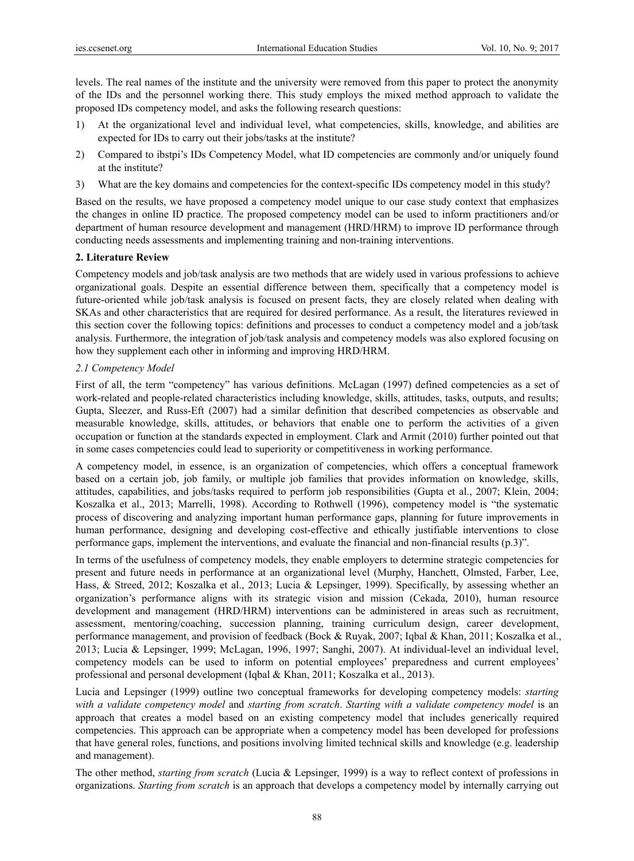levels. The real names of the institute and the university were removed from this paper to protect the anonymity of the IDs and the personnel working there. This study employs the mixed method approach to validate the proposed IDs competency model, and asks the following research questions:

- 1) At the organizational level and individual level, what competencies, skills, knowledge, and abilities are expected for IDs to carry out their jobs/tasks at the institute?
- 2) Compared to ibstpi's IDs Competency Model, what ID competencies are commonly and/or uniquely found at the institute?
- 3) What are the key domains and competencies for the context-specific IDs competency model in this study?

Based on the results, we have proposed a competency model unique to our case study context that emphasizes the changes in online ID practice. The proposed competency model can be used to inform practitioners and/or department of human resource development and management (HRD/HRM) to improve ID performance through conducting needs assessments and implementing training and non-training interventions.

#### **2. Literature Review**

Competency models and job/task analysis are two methods that are widely used in various professions to achieve organizational goals. Despite an essential difference between them, specifically that a competency model is future-oriented while job/task analysis is focused on present facts, they are closely related when dealing with SKAs and other characteristics that are required for desired performance. As a result, the literatures reviewed in this section cover the following topics: definitions and processes to conduct a competency model and a job/task analysis. Furthermore, the integration of job/task analysis and competency models was also explored focusing on how they supplement each other in informing and improving HRD/HRM.

#### *2.1 Competency Model*

First of all, the term "competency" has various definitions. McLagan (1997) defined competencies as a set of work-related and people-related characteristics including knowledge, skills, attitudes, tasks, outputs, and results; Gupta, Sleezer, and Russ-Eft (2007) had a similar definition that described competencies as observable and measurable knowledge, skills, attitudes, or behaviors that enable one to perform the activities of a given occupation or function at the standards expected in employment. Clark and Armit (2010) further pointed out that in some cases competencies could lead to superiority or competitiveness in working performance.

A competency model, in essence, is an organization of competencies, which offers a conceptual framework based on a certain job, job family, or multiple job families that provides information on knowledge, skills, attitudes, capabilities, and jobs/tasks required to perform job responsibilities (Gupta et al., 2007; Klein, 2004; Koszalka et al., 2013; Marrelli, 1998). According to Rothwell (1996), competency model is "the systematic process of discovering and analyzing important human performance gaps, planning for future improvements in human performance, designing and developing cost-effective and ethically justifiable interventions to close performance gaps, implement the interventions, and evaluate the financial and non-financial results (p.3)".

In terms of the usefulness of competency models, they enable employers to determine strategic competencies for present and future needs in performance at an organizational level (Murphy, Hanchett, Olmsted, Farber, Lee, Hass, & Streed, 2012; Koszalka et al., 2013; Lucia & Lepsinger, 1999). Specifically, by assessing whether an organization's performance aligns with its strategic vision and mission (Cekada, 2010), human resource development and management (HRD/HRM) interventions can be administered in areas such as recruitment, assessment, mentoring/coaching, succession planning, training curriculum design, career development, performance management, and provision of feedback (Bock & Ruyak, 2007; Iqbal & Khan, 2011; Koszalka et al., 2013; Lucia & Lepsinger, 1999; McLagan, 1996, 1997; Sanghi, 2007). At individual-level an individual level, competency models can be used to inform on potential employees' preparedness and current employees' professional and personal development (Iqbal & Khan, 2011; Koszalka et al., 2013).

Lucia and Lepsinger (1999) outline two conceptual frameworks for developing competency models: *starting with a validate competency model* and *starting from scratch*. *Starting with a validate competency model* is an approach that creates a model based on an existing competency model that includes generically required competencies. This approach can be appropriate when a competency model has been developed for professions that have general roles, functions, and positions involving limited technical skills and knowledge (e.g. leadership and management).

The other method, *starting from scratch* (Lucia & Lepsinger, 1999) is a way to reflect context of professions in organizations. *Starting from scratch* is an approach that develops a competency model by internally carrying out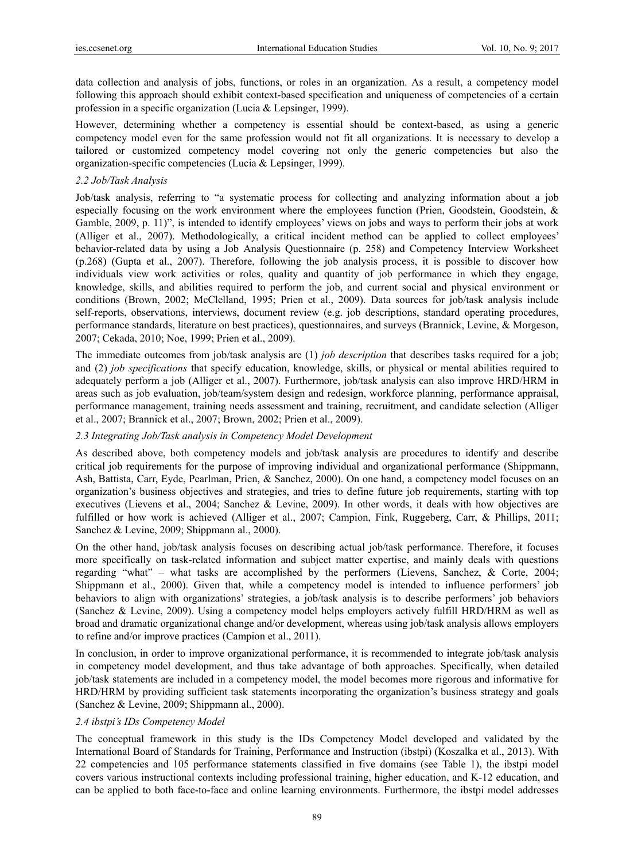data collection and analysis of jobs, functions, or roles in an organization. As a result, a competency model following this approach should exhibit context-based specification and uniqueness of competencies of a certain profession in a specific organization (Lucia & Lepsinger, 1999).

However, determining whether a competency is essential should be context-based, as using a generic competency model even for the same profession would not fit all organizations. It is necessary to develop a tailored or customized competency model covering not only the generic competencies but also the organization-specific competencies (Lucia & Lepsinger, 1999).

### *2.2 Job/Task Analysis*

Job/task analysis, referring to "a systematic process for collecting and analyzing information about a job especially focusing on the work environment where the employees function (Prien, Goodstein, Goodstein, & Gamble, 2009, p. 11)", is intended to identify employees' views on jobs and ways to perform their jobs at work (Alliger et al., 2007). Methodologically, a critical incident method can be applied to collect employees' behavior-related data by using a Job Analysis Questionnaire (p. 258) and Competency Interview Worksheet (p.268) (Gupta et al., 2007). Therefore, following the job analysis process, it is possible to discover how individuals view work activities or roles, quality and quantity of job performance in which they engage, knowledge, skills, and abilities required to perform the job, and current social and physical environment or conditions (Brown, 2002; McClelland, 1995; Prien et al., 2009). Data sources for job/task analysis include self-reports, observations, interviews, document review (e.g. job descriptions, standard operating procedures, performance standards, literature on best practices), questionnaires, and surveys (Brannick, Levine, & Morgeson, 2007; Cekada, 2010; Noe, 1999; Prien et al., 2009).

The immediate outcomes from job/task analysis are (1) *job description* that describes tasks required for a job; and (2) *job specifications* that specify education, knowledge, skills, or physical or mental abilities required to adequately perform a job (Alliger et al., 2007). Furthermore, job/task analysis can also improve HRD/HRM in areas such as job evaluation, job/team/system design and redesign, workforce planning, performance appraisal, performance management, training needs assessment and training, recruitment, and candidate selection (Alliger et al., 2007; Brannick et al., 2007; Brown, 2002; Prien et al., 2009).

## *2.3 Integrating Job/Task analysis in Competency Model Development*

As described above, both competency models and job/task analysis are procedures to identify and describe critical job requirements for the purpose of improving individual and organizational performance (Shippmann, Ash, Battista, Carr, Eyde, Pearlman, Prien, & Sanchez, 2000). On one hand, a competency model focuses on an organization's business objectives and strategies, and tries to define future job requirements, starting with top executives (Lievens et al., 2004; Sanchez & Levine, 2009). In other words, it deals with how objectives are fulfilled or how work is achieved (Alliger et al., 2007; Campion, Fink, Ruggeberg, Carr, & Phillips, 2011; Sanchez & Levine, 2009; Shippmann al., 2000).

On the other hand, job/task analysis focuses on describing actual job/task performance. Therefore, it focuses more specifically on task-related information and subject matter expertise, and mainly deals with questions regarding "what" – what tasks are accomplished by the performers (Lievens, Sanchez, & Corte, 2004; Shippmann et al., 2000). Given that, while a competency model is intended to influence performers' job behaviors to align with organizations' strategies, a job/task analysis is to describe performers' job behaviors (Sanchez & Levine, 2009). Using a competency model helps employers actively fulfill HRD/HRM as well as broad and dramatic organizational change and/or development, whereas using job/task analysis allows employers to refine and/or improve practices (Campion et al., 2011).

In conclusion, in order to improve organizational performance, it is recommended to integrate job/task analysis in competency model development, and thus take advantage of both approaches. Specifically, when detailed job/task statements are included in a competency model, the model becomes more rigorous and informative for HRD/HRM by providing sufficient task statements incorporating the organization's business strategy and goals (Sanchez & Levine, 2009; Shippmann al., 2000).

#### *2.4 ibstpi's IDs Competency Model*

The conceptual framework in this study is the IDs Competency Model developed and validated by the International Board of Standards for Training, Performance and Instruction (ibstpi) (Koszalka et al., 2013). With 22 competencies and 105 performance statements classified in five domains (see Table 1), the ibstpi model covers various instructional contexts including professional training, higher education, and K-12 education, and can be applied to both face-to-face and online learning environments. Furthermore, the ibstpi model addresses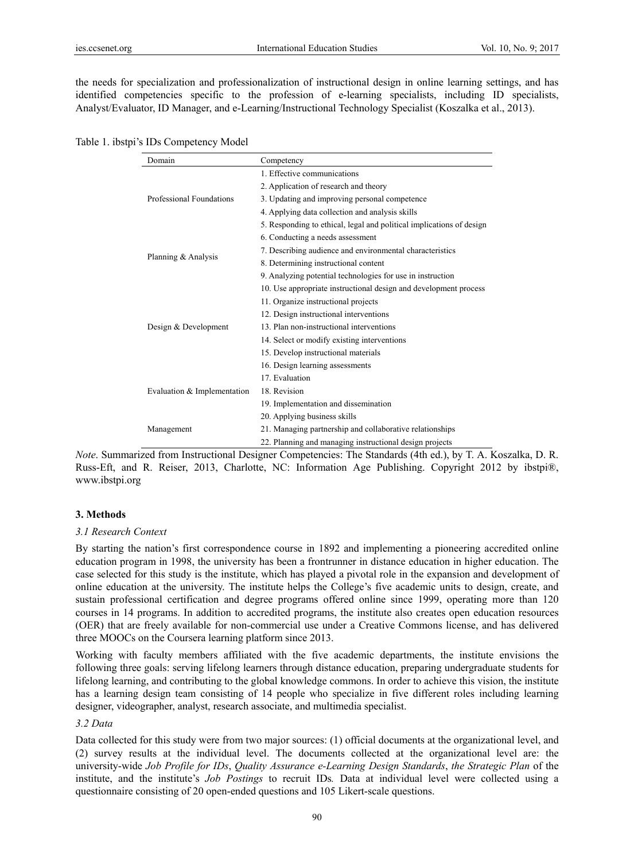the needs for specialization and professionalization of instructional design in online learning settings, and has identified competencies specific to the profession of e-learning specialists, including ID specialists, Analyst/Evaluator, ID Manager, and e-Learning/Instructional Technology Specialist (Koszalka et al., 2013).

|  | Table 1. ibstpi's IDs Competency Model |  |
|--|----------------------------------------|--|
|  |                                        |  |

| Domain                      | Competency                                                           |
|-----------------------------|----------------------------------------------------------------------|
|                             | 1. Effective communications                                          |
|                             | 2. Application of research and theory                                |
| Professional Foundations    | 3. Updating and improving personal competence                        |
|                             | 4. Applying data collection and analysis skills                      |
|                             | 5. Responding to ethical, legal and political implications of design |
|                             | 6. Conducting a needs assessment                                     |
|                             | 7. Describing audience and environmental characteristics             |
| Planning & Analysis         | 8. Determining instructional content                                 |
|                             | 9. Analyzing potential technologies for use in instruction           |
|                             | 10. Use appropriate instructional design and development process     |
|                             | 11. Organize instructional projects                                  |
|                             | 12. Design instructional interventions                               |
| Design & Development        | 13. Plan non-instructional interventions                             |
|                             | 14. Select or modify existing interventions                          |
|                             | 15. Develop instructional materials                                  |
|                             | 16. Design learning assessments                                      |
|                             | 17. Evaluation                                                       |
| Evaluation & Implementation | 18. Revision                                                         |
|                             | 19. Implementation and dissemination                                 |
|                             | 20. Applying business skills                                         |
| Management                  | 21. Managing partnership and collaborative relationships             |
|                             | 22. Planning and managing instructional design projects              |

*Note*. Summarized from Instructional Designer Competencies: The Standards (4th ed.), by T. A. Koszalka, D. R. Russ-Eft, and R. Reiser, 2013, Charlotte, NC: Information Age Publishing. Copyright 2012 by ibstpi®, www.ibstpi.org

#### **3. Methods**

#### *3.1 Research Context*

By starting the nation's first correspondence course in 1892 and implementing a pioneering accredited online education program in 1998, the university has been a frontrunner in distance education in higher education. The case selected for this study is the institute, which has played a pivotal role in the expansion and development of online education at the university. The institute helps the College's five academic units to design, create, and sustain professional certification and degree programs offered online since 1999, operating more than 120 courses in 14 programs. In addition to accredited programs, the institute also creates open education resources (OER) that are freely available for non-commercial use under a Creative Commons license, and has delivered three MOOCs on the Coursera learning platform since 2013.

Working with faculty members affiliated with the five academic departments, the institute envisions the following three goals: serving lifelong learners through distance education, preparing undergraduate students for lifelong learning, and contributing to the global knowledge commons. In order to achieve this vision, the institute has a learning design team consisting of 14 people who specialize in five different roles including learning designer, videographer, analyst, research associate, and multimedia specialist.

#### *3.2 Data*

Data collected for this study were from two major sources: (1) official documents at the organizational level, and (2) survey results at the individual level. The documents collected at the organizational level are: the university-wide *Job Profile for IDs*, *Quality Assurance e-Learning Design Standards*, *the Strategic Plan* of the institute, and the institute's *Job Postings* to recruit IDs*.* Data at individual level were collected using a questionnaire consisting of 20 open-ended questions and 105 Likert-scale questions.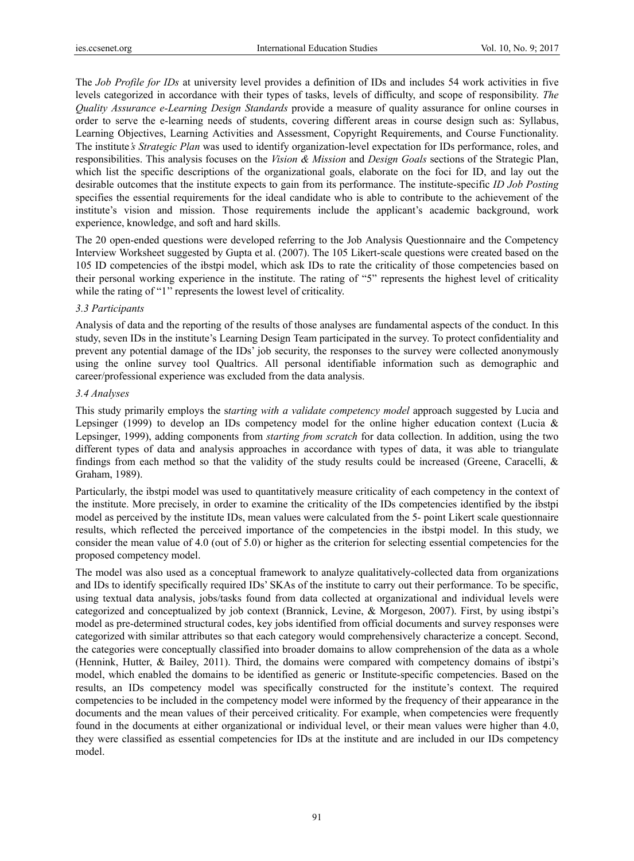The *Job Profile for IDs* at university level provides a definition of IDs and includes 54 work activities in five levels categorized in accordance with their types of tasks, levels of difficulty, and scope of responsibility. *The Quality Assurance e-Learning Design Standards* provide a measure of quality assurance for online courses in order to serve the e-learning needs of students, covering different areas in course design such as: Syllabus, Learning Objectives, Learning Activities and Assessment, Copyright Requirements, and Course Functionality. The institute*'s Strategic Plan* was used to identify organization-level expectation for IDs performance, roles, and responsibilities. This analysis focuses on the *Vision & Mission* and *Design Goals* sections of the Strategic Plan, which list the specific descriptions of the organizational goals, elaborate on the foci for ID, and lay out the desirable outcomes that the institute expects to gain from its performance. The institute-specific *ID Job Posting* specifies the essential requirements for the ideal candidate who is able to contribute to the achievement of the institute's vision and mission. Those requirements include the applicant's academic background, work experience, knowledge, and soft and hard skills.

The 20 open-ended questions were developed referring to the Job Analysis Questionnaire and the Competency Interview Worksheet suggested by Gupta et al. (2007). The 105 Likert-scale questions were created based on the 105 ID competencies of the ibstpi model, which ask IDs to rate the criticality of those competencies based on their personal working experience in the institute. The rating of "5" represents the highest level of criticality while the rating of "1" represents the lowest level of criticality.

## *3.3 Participants*

Analysis of data and the reporting of the results of those analyses are fundamental aspects of the conduct. In this study, seven IDs in the institute's Learning Design Team participated in the survey. To protect confidentiality and prevent any potential damage of the IDs' job security, the responses to the survey were collected anonymously using the online survey tool Qualtrics. All personal identifiable information such as demographic and career/professional experience was excluded from the data analysis.

#### *3.4 Analyses*

This study primarily employs the s*tarting with a validate competency model* approach suggested by Lucia and Lepsinger (1999) to develop an IDs competency model for the online higher education context (Lucia  $\&$ Lepsinger, 1999), adding components from *starting from scratch* for data collection. In addition, using the two different types of data and analysis approaches in accordance with types of data, it was able to triangulate findings from each method so that the validity of the study results could be increased (Greene, Caracelli, & Graham, 1989).

Particularly, the ibstpi model was used to quantitatively measure criticality of each competency in the context of the institute. More precisely, in order to examine the criticality of the IDs competencies identified by the ibstpi model as perceived by the institute IDs, mean values were calculated from the 5- point Likert scale questionnaire results, which reflected the perceived importance of the competencies in the ibstpi model. In this study, we consider the mean value of 4.0 (out of 5.0) or higher as the criterion for selecting essential competencies for the proposed competency model.

The model was also used as a conceptual framework to analyze qualitatively-collected data from organizations and IDs to identify specifically required IDs' SKAs of the institute to carry out their performance. To be specific, using textual data analysis, jobs/tasks found from data collected at organizational and individual levels were categorized and conceptualized by job context (Brannick, Levine, & Morgeson, 2007). First, by using ibstpi's model as pre-determined structural codes, key jobs identified from official documents and survey responses were categorized with similar attributes so that each category would comprehensively characterize a concept. Second, the categories were conceptually classified into broader domains to allow comprehension of the data as a whole (Hennink, Hutter, & Bailey, 2011). Third, the domains were compared with competency domains of ibstpi's model, which enabled the domains to be identified as generic or Institute-specific competencies. Based on the results, an IDs competency model was specifically constructed for the institute's context. The required competencies to be included in the competency model were informed by the frequency of their appearance in the documents and the mean values of their perceived criticality. For example, when competencies were frequently found in the documents at either organizational or individual level, or their mean values were higher than 4.0, they were classified as essential competencies for IDs at the institute and are included in our IDs competency model.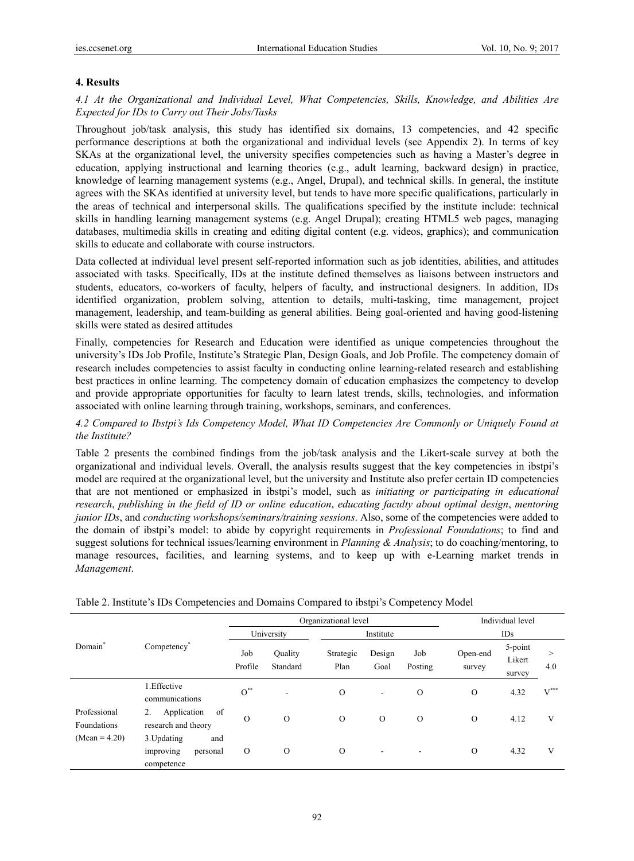#### **4. Results**

*4.1 At the Organizational and Individual Level, What Competencies, Skills, Knowledge, and Abilities Are Expected for IDs to Carry out Their Jobs/Tasks* 

Throughout job/task analysis, this study has identified six domains, 13 competencies, and 42 specific performance descriptions at both the organizational and individual levels (see Appendix 2). In terms of key SKAs at the organizational level, the university specifies competencies such as having a Master's degree in education, applying instructional and learning theories (e.g., adult learning, backward design) in practice, knowledge of learning management systems (e.g., Angel, Drupal), and technical skills. In general, the institute agrees with the SKAs identified at university level, but tends to have more specific qualifications, particularly in the areas of technical and interpersonal skills. The qualifications specified by the institute include: technical skills in handling learning management systems (e.g. Angel Drupal); creating HTML5 web pages, managing databases, multimedia skills in creating and editing digital content (e.g. videos, graphics); and communication skills to educate and collaborate with course instructors.

Data collected at individual level present self-reported information such as job identities, abilities, and attitudes associated with tasks. Specifically, IDs at the institute defined themselves as liaisons between instructors and students, educators, co-workers of faculty, helpers of faculty, and instructional designers. In addition, IDs identified organization, problem solving, attention to details, multi-tasking, time management, project management, leadership, and team-building as general abilities. Being goal-oriented and having good-listening skills were stated as desired attitudes

Finally, competencies for Research and Education were identified as unique competencies throughout the university's IDs Job Profile, Institute's Strategic Plan, Design Goals, and Job Profile. The competency domain of research includes competencies to assist faculty in conducting online learning-related research and establishing best practices in online learning. The competency domain of education emphasizes the competency to develop and provide appropriate opportunities for faculty to learn latest trends, skills, technologies, and information associated with online learning through training, workshops, seminars, and conferences.

## *4.2 Compared to Ibstpi's Ids Competency Model, What ID Competencies Are Commonly or Uniquely Found at the Institute?*

Table 2 presents the combined findings from the job/task analysis and the Likert-scale survey at both the organizational and individual levels. Overall, the analysis results suggest that the key competencies in ibstpi's model are required at the organizational level, but the university and Institute also prefer certain ID competencies that are not mentioned or emphasized in ibstpi's model, such as *initiating or participating in educational research*, *publishing in the field of ID or online education*, *educating faculty about optimal design*, *mentoring junior IDs*, and *conducting workshops/seminars/training sessions*. Also, some of the competencies were added to the domain of ibstpi's model: to abide by copyright requirements in *Professional Foundations*; to find and suggest solutions for technical issues/learning environment in *Planning & Analysis*; to do coaching/mentoring, to manage resources, facilities, and learning systems, and to keep up with e-Learning market trends in *Management*.

|                             |                                                           |                         |                     | Organizational level |                |                |                    | Individual level            |                    |
|-----------------------------|-----------------------------------------------------------|-------------------------|---------------------|----------------------|----------------|----------------|--------------------|-----------------------------|--------------------|
|                             |                                                           | University<br>Institute |                     |                      | IDs            |                |                    |                             |                    |
| Domain*                     | Competency <sup>*</sup>                                   | Job<br>Profile          | Ouality<br>Standard | Strategic<br>Plan    | Design<br>Goal | Job<br>Posting | Open-end<br>survey | 5-point<br>Likert<br>survey | $\rm{>}$<br>4.0    |
|                             | 1.Effective<br>communications                             | $O^{\ast\ast}$          |                     | $\Omega$             | ۰              | $\Omega$       | $\Omega$           | 4.32                        | $V^{\ast\ast\ast}$ |
| Professional<br>Foundations | of<br>2.<br>Application<br>research and theory            | $\Omega$                | $\Omega$            | $\Omega$             | $\Omega$       | $\Omega$       | $\Omega$           | 4.12                        | V                  |
| (Mean = $4.20$ )            | 3. Updating<br>and<br>improving<br>personal<br>competence | $\circ$                 | $\Omega$            | $\Omega$             | ۰              |                | $\Omega$           | 4.32                        | V                  |

Table 2. Institute's IDs Competencies and Domains Compared to ibstpi's Competency Model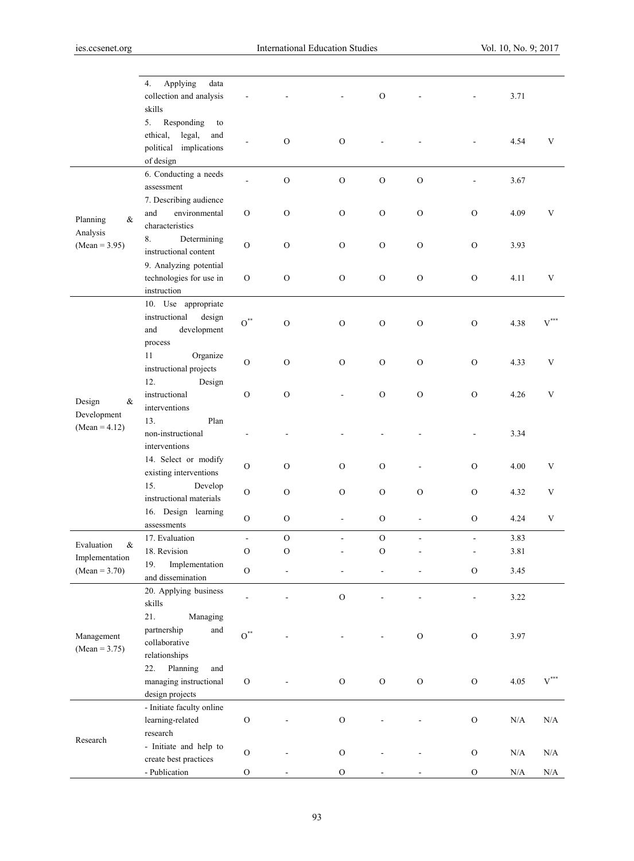|                                | Applying<br>4.<br>data<br>collection and analysis<br>skills                                |                |                |                          | $\mathcal{O}$ |                          |                | 3.71      |                    |
|--------------------------------|--------------------------------------------------------------------------------------------|----------------|----------------|--------------------------|---------------|--------------------------|----------------|-----------|--------------------|
|                                | 5.<br>Responding<br>to<br>ethical,<br>legal,<br>and<br>political implications<br>of design |                | $\mathcal{O}$  | ${\cal O}$               |               |                          |                | 4.54      | V                  |
|                                | 6. Conducting a needs<br>assessment                                                        |                | $\mathcal O$   | $\mathcal{O}$            | $\mathcal O$  | $\rm{O}$                 |                | 3.67      |                    |
| Planning<br>&<br>Analysis      | 7. Describing audience<br>environmental<br>and<br>characteristics                          | $\rm{O}$       | $\mathcal O$   | $\mathcal{O}$            | $\mathcal O$  | $\mathcal{O}$            | $\mathcal{O}$  | 4.09      | V                  |
| $(Mean = 3.95)$                | 8.<br>Determining<br>instructional content                                                 | $\overline{O}$ | $\mathcal{O}$  | $\mathcal{O}$            | $\mathcal O$  | ${\rm O}$                | $\mathcal{O}$  | 3.93      |                    |
|                                | 9. Analyzing potential<br>technologies for use in<br>instruction                           | $\rm{O}$       | $\mathcal O$   | ${\cal O}$               | $\mathcal{O}$ | ${\rm O}$                | ${\rm O}$      | 4.11      | V                  |
|                                | 10. Use appropriate<br>instructional<br>design<br>development<br>and<br>process            | $O^*$          | $\overline{O}$ | $\rm{O}$                 | ${\cal O}$    | ${\rm O}$                | ${\rm O}$      | 4.38      | $V^{\ast\ast\ast}$ |
|                                | 11<br>Organize<br>instructional projects                                                   | $\mathcal O$   | $\mathcal{O}$  | $\mathcal{O}$            | $\mathcal O$  | $\mathcal{O}$            | $\mathcal{O}$  | 4.33      | V                  |
| Design<br>&                    | 12.<br>Design<br>instructional<br>interventions                                            | $\mathcal{O}$  | $\mathcal{O}$  |                          | $\mathcal{O}$ | $\mathcal{O}$            | $\mathcal{O}$  | 4.26      | $\mathbf V$        |
| Development<br>$(Mean = 4.12)$ | 13.<br>Plan<br>non-instructional<br>interventions                                          |                |                |                          |               |                          |                | 3.34      |                    |
|                                | 14. Select or modify<br>existing interventions                                             | $\mathcal{O}$  | $\mathcal{O}$  | $\mathbf{O}$             | $\mathcal{O}$ |                          | $\mathbf{O}$   | 4.00      | V                  |
|                                | 15.<br>Develop<br>instructional materials                                                  | $\overline{O}$ | $\mathcal{O}$  | $\mathbf{O}$             | $\mathcal{O}$ | $\mathcal{O}$            | $\mathcal{O}$  | 4.32      | V                  |
|                                | 16. Design learning<br>assessments                                                         | $\overline{O}$ | $\rm{O}$       | $\overline{\phantom{a}}$ | ${\rm O}$     | $\overline{\phantom{a}}$ | $\mathcal{O}$  | 4.24      | V                  |
| Evaluation<br>&                | 17. Evaluation                                                                             | $\overline{a}$ | $\mathcal{O}$  | $\overline{\phantom{0}}$ | $\mathcal O$  | $\blacksquare$           | $\blacksquare$ | 3.83      |                    |
| Implementation                 | 18. Revision                                                                               | $\rm{O}$       | $\overline{O}$ |                          | $\mathbf{O}$  |                          |                | 3.81      |                    |
| $(Mean = 3.70)$                | 19.<br>Implementation<br>and dissemination                                                 | $\rm{O}$       |                |                          |               |                          | ${\rm O}$      | 3.45      |                    |
| Management<br>$(Mean = 3.75)$  | 20. Applying business<br>skills                                                            | $\overline{a}$ |                | $\mathcal{O}$            |               |                          | $\frac{1}{2}$  | 3.22      |                    |
|                                | 21.<br>Managing<br>partnership<br>and<br>collaborative<br>relationships                    | $O^{\ast\ast}$ |                |                          |               | ${\rm O}$                | $\rm{O}$       | 3.97      |                    |
|                                | Planning<br>22.<br>and<br>managing instructional<br>design projects                        | $\mathcal O$   |                | ${\rm O}$                | ${\rm O}$     | ${\rm O}$                | $\rm{O}$       | 4.05      | $V^{\ast\ast\ast}$ |
| Research                       | - Initiate faculty online<br>learning-related<br>research                                  | $\mathcal O$   |                | $\mathcal O$             |               |                          | ${\rm O}$      | $\rm N/A$ | N/A                |
|                                | - Initiate and help to<br>create best practices                                            | $\rm{O}$       |                | ${\cal O}$               |               |                          | ${\rm O}$      | N/A       | N/A                |
|                                | - Publication                                                                              | $\rm{O}$       |                | $\mathbf O$              |               |                          | ${\rm O}$      | N/A       | $\rm N/A$          |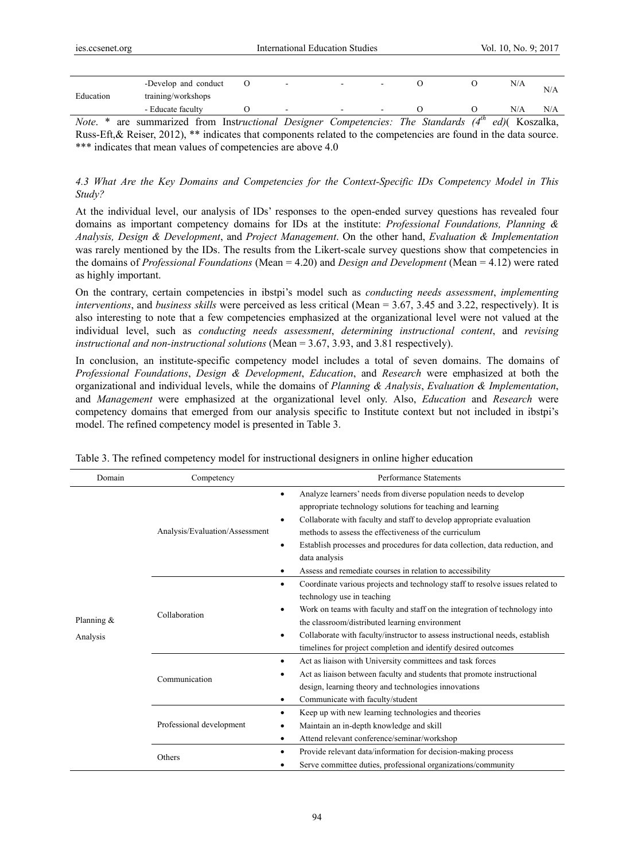|           | -Develop and conduct |                          | - |  | N/A | N/A |
|-----------|----------------------|--------------------------|---|--|-----|-----|
| Education | training/workshops   |                          |   |  |     |     |
|           | - Educate faculty    | $\overline{\phantom{a}}$ | - |  | N/A | N/A |

*Note*. \* are summarized from Inst*ructional Designer Competencies: The Standards (4th ed)*( Koszalka, Russ-Eft,& Reiser, 2012), \*\* indicates that components related to the competencies are found in the data source. \*\*\* indicates that mean values of competencies are above 4.0

*4.3 What Are the Key Domains and Competencies for the Context-Specific IDs Competency Model in This Study?* 

At the individual level, our analysis of IDs' responses to the open-ended survey questions has revealed four domains as important competency domains for IDs at the institute: *Professional Foundations, Planning & Analysis, Design & Development*, and *Project Management*. On the other hand, *Evaluation & Implementation*  was rarely mentioned by the IDs. The results from the Likert-scale survey questions show that competencies in the domains of *Professional Foundations* (Mean = 4.20) and *Design and Development* (Mean = 4.12) were rated as highly important.

On the contrary, certain competencies in ibstpi's model such as *conducting needs assessment*, *implementing interventions*, and *business skills* were perceived as less critical (Mean = 3.67, 3.45 and 3.22, respectively). It is also interesting to note that a few competencies emphasized at the organizational level were not valued at the individual level, such as *conducting needs assessment*, *determining instructional content*, and *revising instructional and non-instructional solutions* (Mean = 3.67, 3.93, and 3.81 respectively).

In conclusion, an institute-specific competency model includes a total of seven domains. The domains of *Professional Foundations*, *Design & Development*, *Education*, and *Research* were emphasized at both the organizational and individual levels, while the domains of *Planning & Analysis*, *Evaluation & Implementation*, and *Management* were emphasized at the organizational level only. Also, *Education* and *Research* were competency domains that emerged from our analysis specific to Institute context but not included in ibstpi's model. The refined competency model is presented in Table 3.

| Domain                   | Competency                     | Performance Statements                                                                                                                                                                                                                                                                                                                                                                                                                      |
|--------------------------|--------------------------------|---------------------------------------------------------------------------------------------------------------------------------------------------------------------------------------------------------------------------------------------------------------------------------------------------------------------------------------------------------------------------------------------------------------------------------------------|
| Planning $&$<br>Analysis | Analysis/Evaluation/Assessment | Analyze learners' needs from diverse population needs to develop<br>٠<br>appropriate technology solutions for teaching and learning<br>Collaborate with faculty and staff to develop appropriate evaluation<br>٠<br>methods to assess the effectiveness of the curriculum<br>Establish processes and procedures for data collection, data reduction, and<br>٠<br>data analysis<br>Assess and remediate courses in relation to accessibility |
|                          | Collaboration                  | Coordinate various projects and technology staff to resolve issues related to<br>technology use in teaching<br>Work on teams with faculty and staff on the integration of technology into<br>the classroom/distributed learning environment<br>Collaborate with faculty/instructor to assess instructional needs, establish<br>٠<br>timelines for project completion and identify desired outcomes                                          |
|                          | Communication                  | Act as liaison with University committees and task forces<br>٠<br>Act as liaison between faculty and students that promote instructional<br>design, learning theory and technologies innovations<br>Communicate with faculty/student                                                                                                                                                                                                        |
|                          | Professional development       | Keep up with new learning technologies and theories<br>Maintain an in-depth knowledge and skill<br>Attend relevant conference/seminar/workshop<br>٠                                                                                                                                                                                                                                                                                         |
|                          | Others                         | Provide relevant data/information for decision-making process<br>Serve committee duties, professional organizations/community                                                                                                                                                                                                                                                                                                               |

Table 3. The refined competency model for instructional designers in online higher education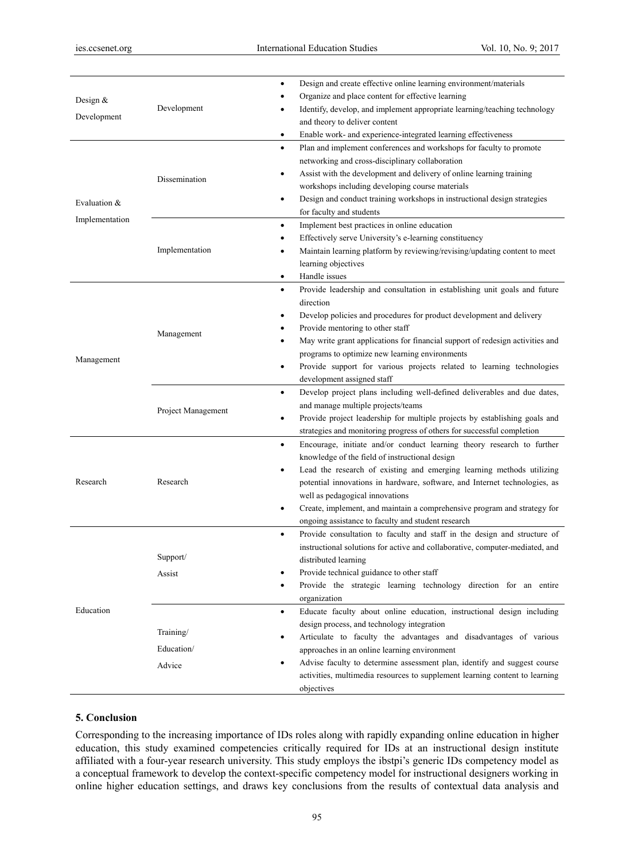| Design $&$<br>Development | Development                       | Design and create effective online learning environment/materials<br>٠<br>Organize and place content for effective learning<br>Identify, develop, and implement appropriate learning/teaching technology<br>and theory to deliver content<br>Enable work- and experience-integrated learning effectiveness<br>$\bullet$                                                                                                                                                                       |
|---------------------------|-----------------------------------|-----------------------------------------------------------------------------------------------------------------------------------------------------------------------------------------------------------------------------------------------------------------------------------------------------------------------------------------------------------------------------------------------------------------------------------------------------------------------------------------------|
| Evaluation &              | Dissemination                     | Plan and implement conferences and workshops for faculty to promote<br>$\bullet$<br>networking and cross-disciplinary collaboration<br>Assist with the development and delivery of online learning training<br>$\bullet$<br>workshops including developing course materials<br>Design and conduct training workshops in instructional design strategies<br>$\bullet$<br>for faculty and students                                                                                              |
| Implementation            | Implementation                    | Implement best practices in online education<br>$\bullet$<br>Effectively serve University's e-learning constituency<br>٠<br>Maintain learning platform by reviewing/revising/updating content to meet<br>٠<br>learning objectives<br>Handle issues<br>$\bullet$                                                                                                                                                                                                                               |
| Management                | Management                        | Provide leadership and consultation in establishing unit goals and future<br>$\bullet$<br>direction<br>Develop policies and procedures for product development and delivery<br>$\bullet$<br>Provide mentoring to other staff<br>٠<br>May write grant applications for financial support of redesign activities and<br>٠<br>programs to optimize new learning environments<br>Provide support for various projects related to learning technologies<br>$\bullet$<br>development assigned staff |
|                           | Project Management                | Develop project plans including well-defined deliverables and due dates,<br>$\bullet$<br>and manage multiple projects/teams<br>Provide project leadership for multiple projects by establishing goals and<br>$\bullet$<br>strategies and monitoring progress of others for successful completion                                                                                                                                                                                              |
| Research                  | Research                          | Encourage, initiate and/or conduct learning theory research to further<br>$\bullet$<br>knowledge of the field of instructional design<br>Lead the research of existing and emerging learning methods utilizing<br>٠<br>potential innovations in hardware, software, and Internet technologies, as<br>well as pedagogical innovations<br>Create, implement, and maintain a comprehensive program and strategy for<br>٠<br>ongoing assistance to faculty and student research                   |
| Education                 | Support/<br>Assist                | Provide consultation to faculty and staff in the design and structure of<br>$\bullet$<br>instructional solutions for active and collaborative, computer-mediated, and<br>distributed learning<br>Provide technical guidance to other staff<br>Provide the strategic learning technology direction for an entire<br>$\bullet$<br>organization                                                                                                                                                  |
|                           | Training/<br>Education/<br>Advice | Educate faculty about online education, instructional design including<br>$\bullet$<br>design process, and technology integration<br>Articulate to faculty the advantages and disadvantages of various<br>٠<br>approaches in an online learning environment<br>Advise faculty to determine assessment plan, identify and suggest course<br>٠<br>activities, multimedia resources to supplement learning content to learning<br>objectives                                                     |

## **5. Conclusion**

Corresponding to the increasing importance of IDs roles along with rapidly expanding online education in higher education, this study examined competencies critically required for IDs at an instructional design institute affiliated with a four-year research university. This study employs the ibstpi's generic IDs competency model as a conceptual framework to develop the context-specific competency model for instructional designers working in online higher education settings, and draws key conclusions from the results of contextual data analysis and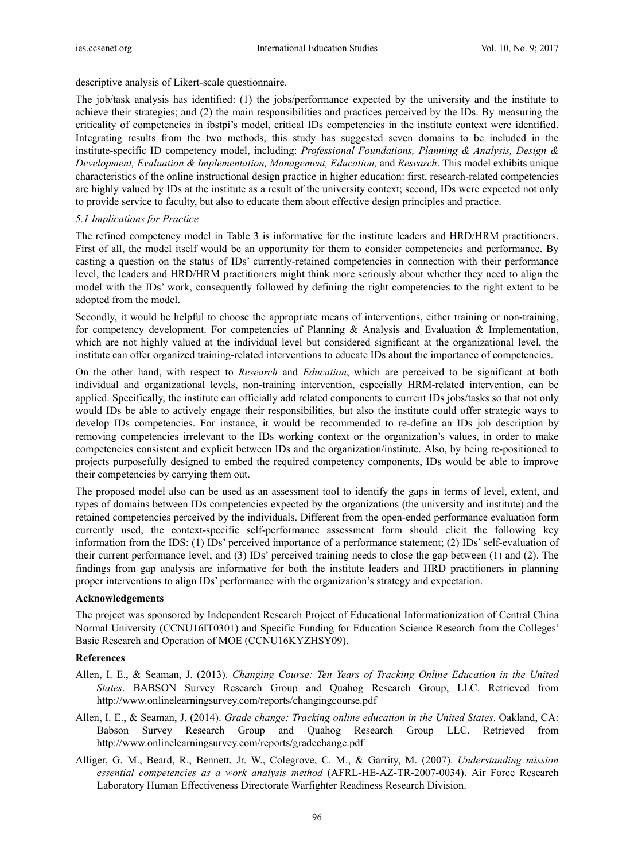descriptive analysis of Likert-scale questionnaire.

The job/task analysis has identified: (1) the jobs/performance expected by the university and the institute to achieve their strategies; and (2) the main responsibilities and practices perceived by the IDs. By measuring the criticality of competencies in ibstpi's model, critical IDs competencies in the institute context were identified. Integrating results from the two methods, this study has suggested seven domains to be included in the institute-specific ID competency model, including: *Professional Foundations, Planning & Analysis, Design & Development, Evaluation & Implementation, Management, Education,* and *Research*. This model exhibits unique characteristics of the online instructional design practice in higher education: first, research-related competencies are highly valued by IDs at the institute as a result of the university context; second, IDs were expected not only to provide service to faculty, but also to educate them about effective design principles and practice.

## *5.1 Implications for Practice*

The refined competency model in Table 3 is informative for the institute leaders and HRD/HRM practitioners. First of all, the model itself would be an opportunity for them to consider competencies and performance. By casting a question on the status of IDs' currently-retained competencies in connection with their performance level, the leaders and HRD/HRM practitioners might think more seriously about whether they need to align the model with the IDs' work, consequently followed by defining the right competencies to the right extent to be adopted from the model.

Secondly, it would be helpful to choose the appropriate means of interventions, either training or non-training, for competency development. For competencies of Planning  $\&$  Analysis and Evaluation  $\&$  Implementation, which are not highly valued at the individual level but considered significant at the organizational level, the institute can offer organized training-related interventions to educate IDs about the importance of competencies.

On the other hand, with respect to *Research* and *Education*, which are perceived to be significant at both individual and organizational levels, non-training intervention, especially HRM-related intervention, can be applied. Specifically, the institute can officially add related components to current IDs jobs/tasks so that not only would IDs be able to actively engage their responsibilities, but also the institute could offer strategic ways to develop IDs competencies. For instance, it would be recommended to re-define an IDs job description by removing competencies irrelevant to the IDs working context or the organization's values, in order to make competencies consistent and explicit between IDs and the organization/institute. Also, by being re-positioned to projects purposefully designed to embed the required competency components, IDs would be able to improve their competencies by carrying them out.

The proposed model also can be used as an assessment tool to identify the gaps in terms of level, extent, and types of domains between IDs competencies expected by the organizations (the university and institute) and the retained competencies perceived by the individuals. Different from the open-ended performance evaluation form currently used, the context-specific self-performance assessment form should elicit the following key information from the IDS: (1) IDs' perceived importance of a performance statement; (2) IDs' self-evaluation of their current performance level; and (3) IDs' perceived training needs to close the gap between (1) and (2). The findings from gap analysis are informative for both the institute leaders and HRD practitioners in planning proper interventions to align IDs' performance with the organization's strategy and expectation.

#### **Acknowledgements**

The project was sponsored by Independent Research Project of Educational Informationization of Central China Normal University (CCNU16IT0301) and Specific Funding for Education Science Research from the Colleges' Basic Research and Operation of MOE (CCNU16KYZHSY09).

#### **References**

- Allen, I. E., & Seaman, J. (2013). *Changing Course: Ten Years of Tracking Online Education in the United States*. BABSON Survey Research Group and Quahog Research Group, LLC. Retrieved from http://www.onlinelearningsurvey.com/reports/changingcourse.pdf
- Allen, I. E., & Seaman, J. (2014). *Grade change: Tracking online education in the United States*. Oakland, CA: Babson Survey Research Group and Quahog Research Group LLC. Retrieved from http://www.onlinelearningsurvey.com/reports/gradechange.pdf
- Alliger, G. M., Beard, R., Bennett, Jr. W., Colegrove, C. M., & Garrity, M. (2007). *Understanding mission essential competencies as a work analysis method* (AFRL-HE-AZ-TR-2007-0034). Air Force Research Laboratory Human Effectiveness Directorate Warfighter Readiness Research Division.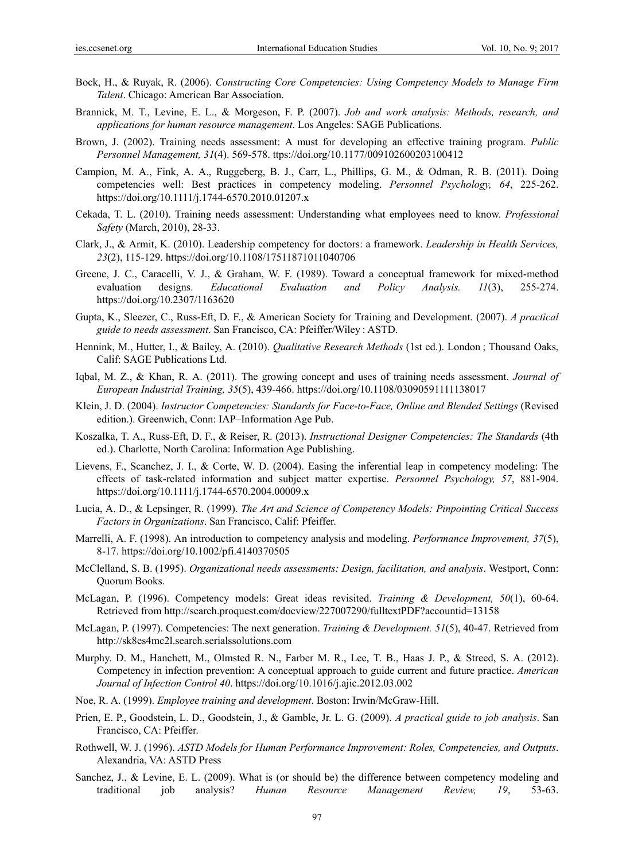- Bock, H., & Ruyak, R. (2006). *Constructing Core Competencies: Using Competency Models to Manage Firm Talent*. Chicago: American Bar Association.
- Brannick, M. T., Levine, E. L., & Morgeson, F. P. (2007). *Job and work analysis: Methods, research, and applications for human resource management*. Los Angeles: SAGE Publications.
- Brown, J. (2002). Training needs assessment: A must for developing an effective training program. *Public Personnel Management, 31*(4). 569-578. ttps://doi.org/10.1177/009102600203100412
- Campion, M. A., Fink, A. A., Ruggeberg, B. J., Carr, L., Phillips, G. M., & Odman, R. B. (2011). Doing competencies well: Best practices in competency modeling. *Personnel Psychology, 64*, 225-262. https://doi.org/10.1111/j.1744-6570.2010.01207.x
- Cekada, T. L. (2010). Training needs assessment: Understanding what employees need to know. *Professional Safety* (March, 2010), 28-33.
- Clark, J., & Armit, K. (2010). Leadership competency for doctors: a framework. *Leadership in Health Services, 23*(2), 115-129. https://doi.org/10.1108/17511871011040706
- Greene, J. C., Caracelli, V. J., & Graham, W. F. (1989). Toward a conceptual framework for mixed-method evaluation designs. *Educational Evaluation and Policy Analysis. 11*(3), 255-274. https://doi.org/10.2307/1163620
- Gupta, K., Sleezer, C., Russ-Eft, D. F., & American Society for Training and Development. (2007). *A practical guide to needs assessment*. San Francisco, CA: Pfeiffer/Wiley : ASTD.
- Hennink, M., Hutter, I., & Bailey, A. (2010). *Qualitative Research Methods* (1st ed.). London ; Thousand Oaks, Calif: SAGE Publications Ltd.
- Iqbal, M. Z., & Khan, R. A. (2011). The growing concept and uses of training needs assessment. *Journal of European Industrial Training, 35*(5), 439-466. https://doi.org/10.1108/03090591111138017
- Klein, J. D. (2004). *Instructor Competencies: Standards for Face-to-Face, Online and Blended Settings* (Revised edition.). Greenwich, Conn: IAP–Information Age Pub.
- Koszalka, T. A., Russ-Eft, D. F., & Reiser, R. (2013). *Instructional Designer Competencies: The Standards* (4th ed.). Charlotte, North Carolina: Information Age Publishing.
- Lievens, F., Scanchez, J. I., & Corte, W. D. (2004). Easing the inferential leap in competency modeling: The effects of task-related information and subject matter expertise. *Personnel Psychology, 57*, 881-904. https://doi.org/10.1111/j.1744-6570.2004.00009.x
- Lucia, A. D., & Lepsinger, R. (1999). *The Art and Science of Competency Models: Pinpointing Critical Success Factors in Organizations*. San Francisco, Calif: Pfeiffer.
- Marrelli, A. F. (1998). An introduction to competency analysis and modeling. *Performance Improvement, 37*(5), 8-17. https://doi.org/10.1002/pfi.4140370505
- McClelland, S. B. (1995). *Organizational needs assessments: Design, facilitation, and analysis*. Westport, Conn: Quorum Books.
- McLagan, P. (1996). Competency models: Great ideas revisited. *Training & Development, 50*(1), 60-64. Retrieved from http://search.proquest.com/docview/227007290/fulltextPDF?accountid=13158
- McLagan, P. (1997). Competencies: The next generation. *Training & Development. 51*(5), 40-47. Retrieved from http://sk8es4mc2l.search.serialssolutions.com
- Murphy. D. M., Hanchett, M., Olmsted R. N., Farber M. R., Lee, T. B., Haas J. P., & Streed, S. A. (2012). Competency in infection prevention: A conceptual approach to guide current and future practice. *American Journal of Infection Control 40*. https://doi.org/10.1016/j.ajic.2012.03.002
- Noe, R. A. (1999). *Employee training and development*. Boston: Irwin/McGraw-Hill.
- Prien, E. P., Goodstein, L. D., Goodstein, J., & Gamble, Jr. L. G. (2009). *A practical guide to job analysis*. San Francisco, CA: Pfeiffer.
- Rothwell, W. J. (1996). *ASTD Models for Human Performance Improvement: Roles, Competencies, and Outputs*. Alexandria, VA: ASTD Press
- Sanchez, J., & Levine, E. L. (2009). What is (or should be) the difference between competency modeling and traditional job analysis? *Human Resource Management Review, 19*, 53-63.